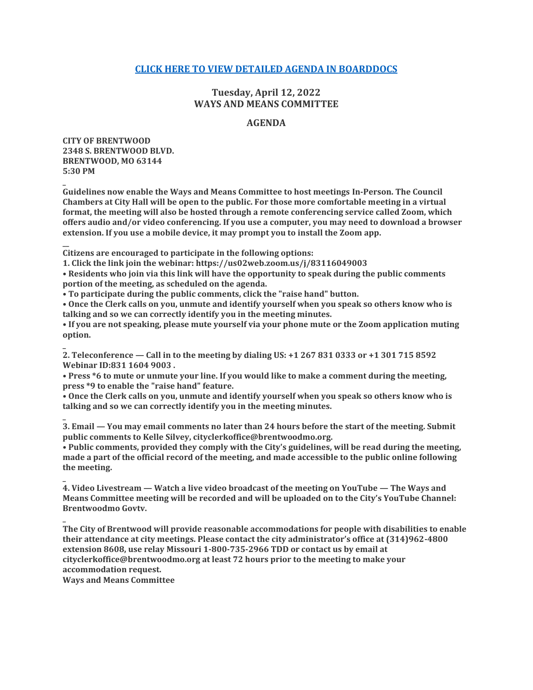# **[CLICK HERE TO VIEW DETAILED AGENDA IN BOARDDOCS](http://go.boarddocs.com/mo/cob/Board.nsf/goto?open&id=CCUNUF619E73)**

# **Tuesday, April 12, 2022 WAYS AND MEANS COMMITTEE**

# **AGENDA**

**CITY OF BRENTWOOD 2348 S. BRENTWOOD BLVD. BRENTWOOD, MO 63144 5:30 PM**

**\_**

**\_**

**\_**

**\_**

**\_**

**Guidelines now enable the Ways and Means Committee to host meetings In-Person. The Council Chambers at City Hall will be open to the public. For those more comfortable meeting in a virtual format, the meeting will also be hosted through a remote conferencing service called Zoom, which offers audio and/or video conferencing. If you use a computer, you may need to download a browser extension. If you use a mobile device, it may prompt you to install the Zoom app.**

**\_\_ Citizens are encouraged to participate in the following options:**

**1. Click the link join the webinar: https://us02web.zoom.us/j/83116049003**

**• Residents who join via this link will have the opportunity to speak during the public comments portion of the meeting, as scheduled on the agenda.**

**• To participate during the public comments, click the "raise hand" button.**

**• Once the Clerk calls on you, unmute and identify yourself when you speak so others know who is talking and so we can correctly identify you in the meeting minutes.**

**• If you are not speaking, please mute yourself via your phone mute or the Zoom application muting option.**

**2. Teleconference — Call in to the meeting by dialing US: +1 267 831 0333 or +1 301 715 8592 Webinar ID:831 1604 9003 .**

**• Press \*6 to mute or unmute your line. If you would like to make a comment during the meeting, press \*9 to enable the "raise hand" feature.**

**• Once the Clerk calls on you, unmute and identify yourself when you speak so others know who is talking and so we can correctly identify you in the meeting minutes.**

**3. Email — You may email comments no later than 24 hours before the start of the meeting. Submit public comments to Kelle Silvey, cityclerkoffice@brentwoodmo.org.**

**• Public comments, provided they comply with the City's guidelines, will be read during the meeting, made a part of the official record of the meeting, and made accessible to the public online following the meeting.**

**4. Video Livestream — Watch a live video broadcast of the meeting on YouTube — The Ways and Means Committee meeting will be recorded and will be uploaded on to the City's YouTube Channel: Brentwoodmo Govtv.**

**The City of Brentwood will provide reasonable accommodations for people with disabilities to enable their attendance at city meetings. Please contact the city administrator's office at (314)962-4800 extension 8608, use relay Missouri 1-800-735-2966 TDD or contact us by email at cityclerkoffice@brentwoodmo.org at least 72 hours prior to the meeting to make your accommodation request.**

**Ways and Means Committee**